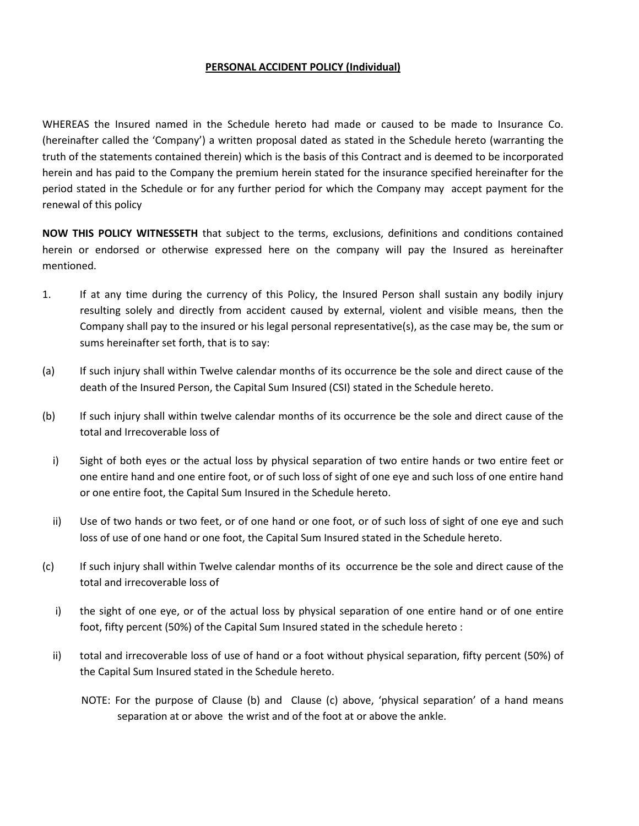#### PERSONAL ACCIDENT POLICY (Individual)

WHEREAS the Insured named in the Schedule hereto had made or caused to be made to Insurance Co. (hereinafter called the 'Company') a written proposal dated as stated in the Schedule hereto (warranting the truth of the statements contained therein) which is the basis of this Contract and is deemed to be incorporated herein and has paid to the Company the premium herein stated for the insurance specified hereinafter for the period stated in the Schedule or for any further period for which the Company may accept payment for the renewal of this policy

NOW THIS POLICY WITNESSETH that subject to the terms, exclusions, definitions and conditions contained herein or endorsed or otherwise expressed here on the company will pay the Insured as hereinafter mentioned.

- 1. If at any time during the currency of this Policy, the Insured Person shall sustain any bodily injury resulting solely and directly from accident caused by external, violent and visible means, then the Company shall pay to the insured or his legal personal representative(s), as the case may be, the sum or sums hereinafter set forth, that is to say:
- (a) If such injury shall within Twelve calendar months of its occurrence be the sole and direct cause of the death of the Insured Person, the Capital Sum Insured (CSI) stated in the Schedule hereto.
- (b) If such injury shall within twelve calendar months of its occurrence be the sole and direct cause of the total and Irrecoverable loss of
	- i) Sight of both eyes or the actual loss by physical separation of two entire hands or two entire feet or one entire hand and one entire foot, or of such loss of sight of one eye and such loss of one entire hand or one entire foot, the Capital Sum Insured in the Schedule hereto.
	- ii) Use of two hands or two feet, or of one hand or one foot, or of such loss of sight of one eye and such loss of use of one hand or one foot, the Capital Sum Insured stated in the Schedule hereto.
- (c) If such injury shall within Twelve calendar months of its occurrence be the sole and direct cause of the total and irrecoverable loss of
	- i) the sight of one eye, or of the actual loss by physical separation of one entire hand or of one entire foot, fifty percent (50%) of the Capital Sum Insured stated in the schedule hereto :
	- ii) total and irrecoverable loss of use of hand or a foot without physical separation, fifty percent (50%) of the Capital Sum Insured stated in the Schedule hereto.
		- NOTE: For the purpose of Clause (b) and Clause (c) above, 'physical separation' of a hand means separation at or above the wrist and of the foot at or above the ankle.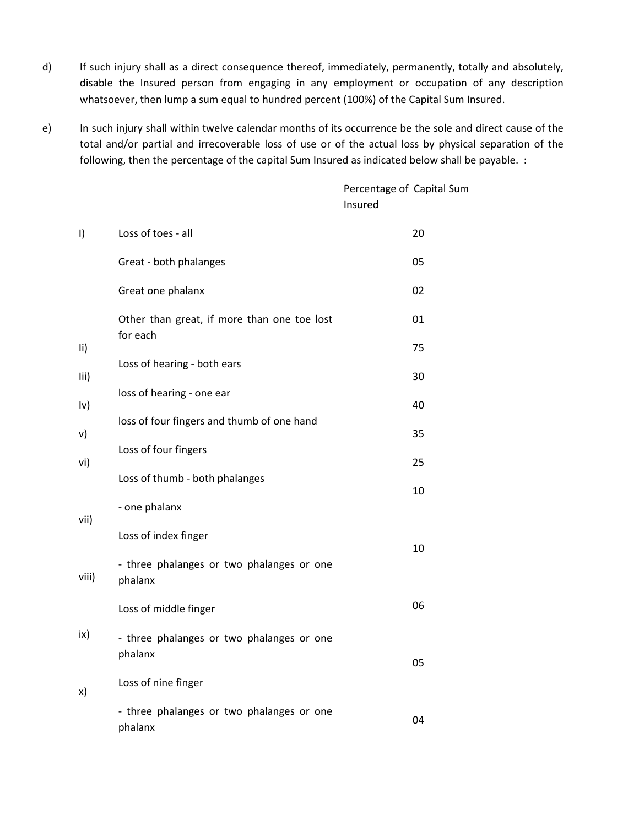- d) If such injury shall as a direct consequence thereof, immediately, permanently, totally and absolutely, disable the Insured person from engaging in any employment or occupation of any description whatsoever, then lump a sum equal to hundred percent (100%) of the Capital Sum Insured.
- e) In such injury shall within twelve calendar months of its occurrence be the sole and direct cause of the total and/or partial and irrecoverable loss of use or of the actual loss by physical separation of the following, then the percentage of the capital Sum Insured as indicated below shall be payable. :

Percentage of Capital Sum Insured

|  | $\vert$         | Loss of toes - all                                      | 20 |
|--|-----------------|---------------------------------------------------------|----|
|  |                 | Great - both phalanges                                  | 05 |
|  |                 | Great one phalanx                                       | 02 |
|  | $\overline{11}$ | Other than great, if more than one toe lost<br>for each | 01 |
|  |                 |                                                         | 75 |
|  | lii)            | Loss of hearing - both ears                             | 30 |
|  | $ v\rangle$     | loss of hearing - one ear                               | 40 |
|  |                 | loss of four fingers and thumb of one hand              |    |
|  | v)              | Loss of four fingers                                    | 35 |
|  | vi)             |                                                         | 25 |
|  |                 | Loss of thumb - both phalanges                          | 10 |
|  | vii)            | - one phalanx                                           |    |
|  |                 | Loss of index finger                                    | 10 |
|  | viii)           | - three phalanges or two phalanges or one<br>phalanx    |    |
|  |                 | Loss of middle finger                                   | 06 |
|  | ix)             | - three phalanges or two phalanges or one<br>phalanx    | 05 |
|  | x)              | Loss of nine finger                                     |    |
|  |                 | - three phalanges or two phalanges or one<br>phalanx    | 04 |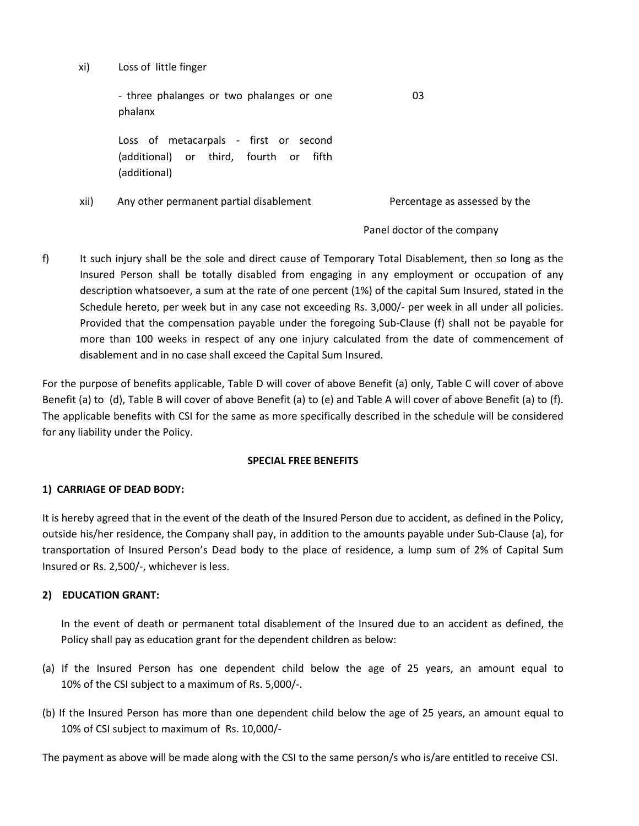xi) Loss of little finger

- three phalanges or two phalanges or one phalanx 03

Loss of metacarpals - first or second (additional) or third, fourth or fifth (additional)

xii) Any other permanent partial disablement Percentage as assessed by the

Panel doctor of the company

f) It such injury shall be the sole and direct cause of Temporary Total Disablement, then so long as the Insured Person shall be totally disabled from engaging in any employment or occupation of any description whatsoever, a sum at the rate of one percent (1%) of the capital Sum Insured, stated in the Schedule hereto, per week but in any case not exceeding Rs. 3,000/- per week in all under all policies. Provided that the compensation payable under the foregoing Sub-Clause (f) shall not be payable for more than 100 weeks in respect of any one injury calculated from the date of commencement of disablement and in no case shall exceed the Capital Sum Insured.

For the purpose of benefits applicable, Table D will cover of above Benefit (a) only, Table C will cover of above Benefit (a) to (d), Table B will cover of above Benefit (a) to (e) and Table A will cover of above Benefit (a) to (f). The applicable benefits with CSI for the same as more specifically described in the schedule will be considered for any liability under the Policy.

#### SPECIAL FREE BENEFITS

## 1) CARRIAGE OF DEAD BODY:

It is hereby agreed that in the event of the death of the Insured Person due to accident, as defined in the Policy, outside his/her residence, the Company shall pay, in addition to the amounts payable under Sub-Clause (a), for transportation of Insured Person's Dead body to the place of residence, a lump sum of 2% of Capital Sum Insured or Rs. 2,500/-, whichever is less.

## 2) EDUCATION GRANT:

In the event of death or permanent total disablement of the Insured due to an accident as defined, the Policy shall pay as education grant for the dependent children as below:

- (a) If the Insured Person has one dependent child below the age of 25 years, an amount equal to 10% of the CSI subject to a maximum of Rs. 5,000/-.
- (b) If the Insured Person has more than one dependent child below the age of 25 years, an amount equal to 10% of CSI subject to maximum of Rs. 10,000/-

The payment as above will be made along with the CSI to the same person/s who is/are entitled to receive CSI.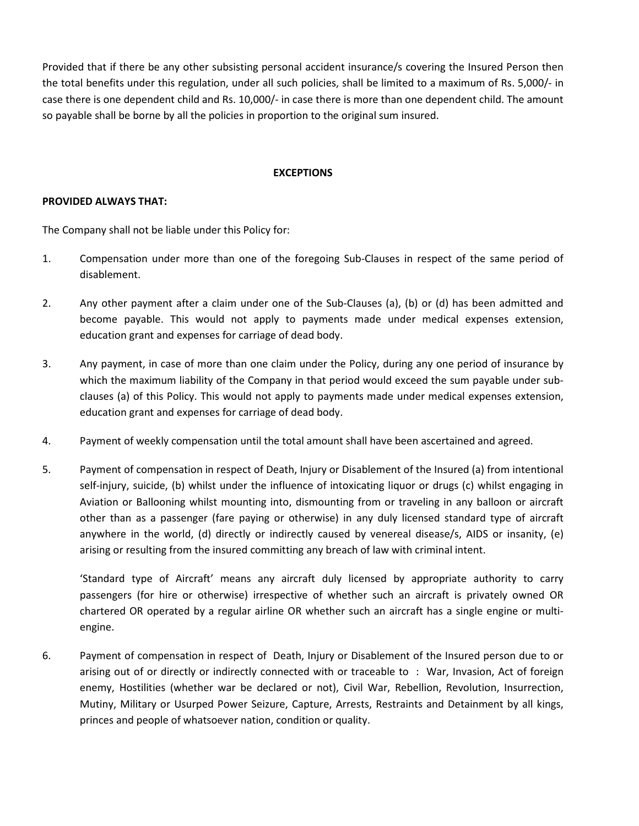Provided that if there be any other subsisting personal accident insurance/s covering the Insured Person then the total benefits under this regulation, under all such policies, shall be limited to a maximum of Rs. 5,000/- in case there is one dependent child and Rs. 10,000/- in case there is more than one dependent child. The amount so payable shall be borne by all the policies in proportion to the original sum insured.

#### **EXCEPTIONS**

#### PROVIDED ALWAYS THAT:

The Company shall not be liable under this Policy for:

- 1. Compensation under more than one of the foregoing Sub-Clauses in respect of the same period of disablement.
- 2. Any other payment after a claim under one of the Sub-Clauses (a), (b) or (d) has been admitted and become payable. This would not apply to payments made under medical expenses extension, education grant and expenses for carriage of dead body.
- 3. Any payment, in case of more than one claim under the Policy, during any one period of insurance by which the maximum liability of the Company in that period would exceed the sum payable under subclauses (a) of this Policy. This would not apply to payments made under medical expenses extension, education grant and expenses for carriage of dead body.
- 4. Payment of weekly compensation until the total amount shall have been ascertained and agreed.
- 5. Payment of compensation in respect of Death, Injury or Disablement of the Insured (a) from intentional self-injury, suicide, (b) whilst under the influence of intoxicating liquor or drugs (c) whilst engaging in Aviation or Ballooning whilst mounting into, dismounting from or traveling in any balloon or aircraft other than as a passenger (fare paying or otherwise) in any duly licensed standard type of aircraft anywhere in the world, (d) directly or indirectly caused by venereal disease/s, AIDS or insanity, (e) arising or resulting from the insured committing any breach of law with criminal intent.

 'Standard type of Aircraft' means any aircraft duly licensed by appropriate authority to carry passengers (for hire or otherwise) irrespective of whether such an aircraft is privately owned OR chartered OR operated by a regular airline OR whether such an aircraft has a single engine or multiengine.

6. Payment of compensation in respect of Death, Injury or Disablement of the Insured person due to or arising out of or directly or indirectly connected with or traceable to : War, Invasion, Act of foreign enemy, Hostilities (whether war be declared or not), Civil War, Rebellion, Revolution, Insurrection, Mutiny, Military or Usurped Power Seizure, Capture, Arrests, Restraints and Detainment by all kings, princes and people of whatsoever nation, condition or quality.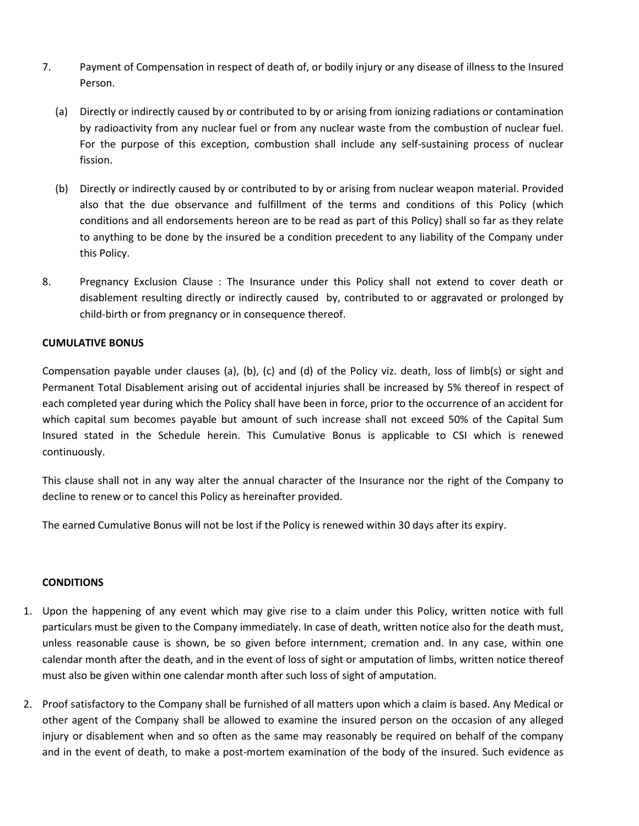- 7. Payment of Compensation in respect of death of, or bodily injury or any disease of illness to the Insured Person.
	- (a) Directly or indirectly caused by or contributed to by or arising from ionizing radiations or contamination by radioactivity from any nuclear fuel or from any nuclear waste from the combustion of nuclear fuel. For the purpose of this exception, combustion shall include any self-sustaining process of nuclear fission.
	- (b) Directly or indirectly caused by or contributed to by or arising from nuclear weapon material. Provided also that the due observance and fulfillment of the terms and conditions of this Policy (which conditions and all endorsements hereon are to be read as part of this Policy) shall so far as they relate to anything to be done by the insured be a condition precedent to any liability of the Company under this Policy.
- 8. Pregnancy Exclusion Clause : The Insurance under this Policy shall not extend to cover death or disablement resulting directly or indirectly caused by, contributed to or aggravated or prolonged by child-birth or from pregnancy or in consequence thereof.

## CUMULATIVE BONUS

Compensation payable under clauses (a), (b), (c) and (d) of the Policy viz. death, loss of limb(s) or sight and Permanent Total Disablement arising out of accidental injuries shall be increased by 5% thereof in respect of each completed year during which the Policy shall have been in force, prior to the occurrence of an accident for which capital sum becomes payable but amount of such increase shall not exceed 50% of the Capital Sum Insured stated in the Schedule herein. This Cumulative Bonus is applicable to CSI which is renewed continuously.

This clause shall not in any way alter the annual character of the Insurance nor the right of the Company to decline to renew or to cancel this Policy as hereinafter provided.

The earned Cumulative Bonus will not be lost if the Policy is renewed within 30 days after its expiry.

## **CONDITIONS**

- 1. Upon the happening of any event which may give rise to a claim under this Policy, written notice with full particulars must be given to the Company immediately. In case of death, written notice also for the death must, unless reasonable cause is shown, be so given before internment, cremation and. In any case, within one calendar month after the death, and in the event of loss of sight or amputation of limbs, written notice thereof must also be given within one calendar month after such loss of sight of amputation.
- 2. Proof satisfactory to the Company shall be furnished of all matters upon which a claim is based. Any Medical or other agent of the Company shall be allowed to examine the insured person on the occasion of any alleged injury or disablement when and so often as the same may reasonably be required on behalf of the company and in the event of death, to make a post-mortem examination of the body of the insured. Such evidence as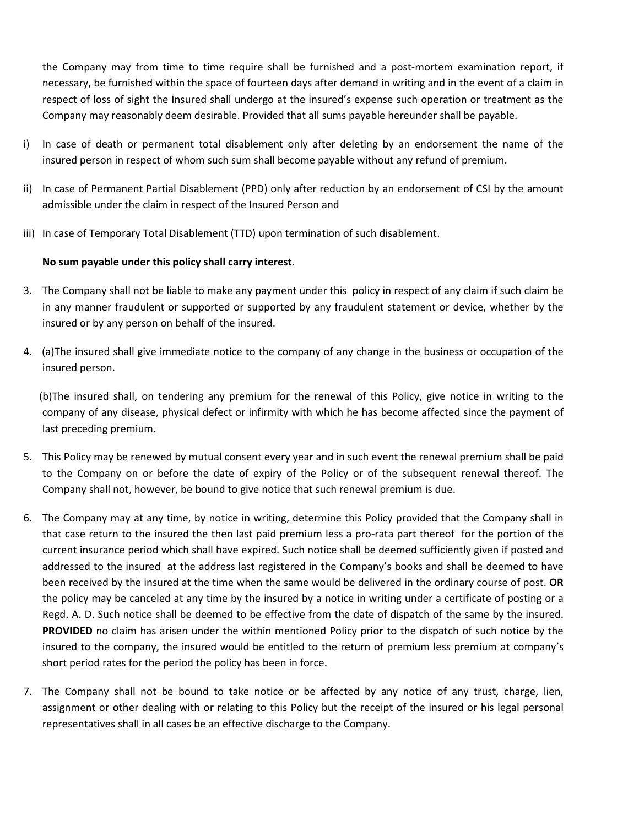the Company may from time to time require shall be furnished and a post-mortem examination report, if necessary, be furnished within the space of fourteen days after demand in writing and in the event of a claim in respect of loss of sight the Insured shall undergo at the insured's expense such operation or treatment as the Company may reasonably deem desirable. Provided that all sums payable hereunder shall be payable.

- i) In case of death or permanent total disablement only after deleting by an endorsement the name of the insured person in respect of whom such sum shall become payable without any refund of premium.
- ii) In case of Permanent Partial Disablement (PPD) only after reduction by an endorsement of CSI by the amount admissible under the claim in respect of the Insured Person and
- iii) In case of Temporary Total Disablement (TTD) upon termination of such disablement.

# No sum payable under this policy shall carry interest.

- 3. The Company shall not be liable to make any payment under this policy in respect of any claim if such claim be in any manner fraudulent or supported or supported by any fraudulent statement or device, whether by the insured or by any person on behalf of the insured.
- 4. (a)The insured shall give immediate notice to the company of any change in the business or occupation of the insured person.

 (b)The insured shall, on tendering any premium for the renewal of this Policy, give notice in writing to the company of any disease, physical defect or infirmity with which he has become affected since the payment of last preceding premium.

- 5. This Policy may be renewed by mutual consent every year and in such event the renewal premium shall be paid to the Company on or before the date of expiry of the Policy or of the subsequent renewal thereof. The Company shall not, however, be bound to give notice that such renewal premium is due.
- 6. The Company may at any time, by notice in writing, determine this Policy provided that the Company shall in that case return to the insured the then last paid premium less a pro-rata part thereof for the portion of the current insurance period which shall have expired. Such notice shall be deemed sufficiently given if posted and addressed to the insured at the address last registered in the Company's books and shall be deemed to have been received by the insured at the time when the same would be delivered in the ordinary course of post. OR the policy may be canceled at any time by the insured by a notice in writing under a certificate of posting or a Regd. A. D. Such notice shall be deemed to be effective from the date of dispatch of the same by the insured. PROVIDED no claim has arisen under the within mentioned Policy prior to the dispatch of such notice by the insured to the company, the insured would be entitled to the return of premium less premium at company's short period rates for the period the policy has been in force.
- 7. The Company shall not be bound to take notice or be affected by any notice of any trust, charge, lien, assignment or other dealing with or relating to this Policy but the receipt of the insured or his legal personal representatives shall in all cases be an effective discharge to the Company.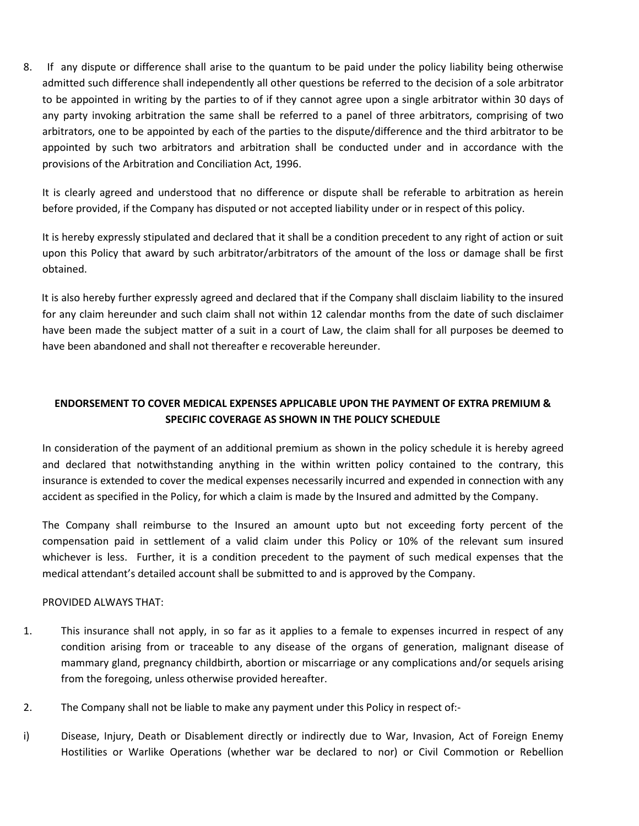8. If any dispute or difference shall arise to the quantum to be paid under the policy liability being otherwise admitted such difference shall independently all other questions be referred to the decision of a sole arbitrator to be appointed in writing by the parties to of if they cannot agree upon a single arbitrator within 30 days of any party invoking arbitration the same shall be referred to a panel of three arbitrators, comprising of two arbitrators, one to be appointed by each of the parties to the dispute/difference and the third arbitrator to be appointed by such two arbitrators and arbitration shall be conducted under and in accordance with the provisions of the Arbitration and Conciliation Act, 1996.

 It is clearly agreed and understood that no difference or dispute shall be referable to arbitration as herein before provided, if the Company has disputed or not accepted liability under or in respect of this policy.

 It is hereby expressly stipulated and declared that it shall be a condition precedent to any right of action or suit upon this Policy that award by such arbitrator/arbitrators of the amount of the loss or damage shall be first obtained.

 It is also hereby further expressly agreed and declared that if the Company shall disclaim liability to the insured for any claim hereunder and such claim shall not within 12 calendar months from the date of such disclaimer have been made the subject matter of a suit in a court of Law, the claim shall for all purposes be deemed to have been abandoned and shall not thereafter e recoverable hereunder.

# ENDORSEMENT TO COVER MEDICAL EXPENSES APPLICABLE UPON THE PAYMENT OF EXTRA PREMIUM & SPECIFIC COVERAGE AS SHOWN IN THE POLICY SCHEDULE

In consideration of the payment of an additional premium as shown in the policy schedule it is hereby agreed and declared that notwithstanding anything in the within written policy contained to the contrary, this insurance is extended to cover the medical expenses necessarily incurred and expended in connection with any accident as specified in the Policy, for which a claim is made by the Insured and admitted by the Company.

The Company shall reimburse to the Insured an amount upto but not exceeding forty percent of the compensation paid in settlement of a valid claim under this Policy or 10% of the relevant sum insured whichever is less. Further, it is a condition precedent to the payment of such medical expenses that the medical attendant's detailed account shall be submitted to and is approved by the Company.

## PROVIDED ALWAYS THAT:

- 1. This insurance shall not apply, in so far as it applies to a female to expenses incurred in respect of any condition arising from or traceable to any disease of the organs of generation, malignant disease of mammary gland, pregnancy childbirth, abortion or miscarriage or any complications and/or sequels arising from the foregoing, unless otherwise provided hereafter.
- 2. The Company shall not be liable to make any payment under this Policy in respect of:-
- i) Disease, Injury, Death or Disablement directly or indirectly due to War, Invasion, Act of Foreign Enemy Hostilities or Warlike Operations (whether war be declared to nor) or Civil Commotion or Rebellion